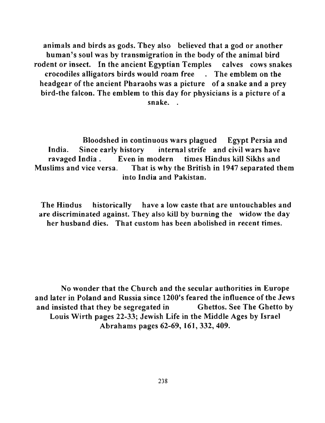animals and birds as gods. Tbey also believed that a god or another human's soul was by transmigration in the body of the animal bird rodent or insect. In the ancient Egyptian Temples calves cows snakes crocodiles alligators birds would roam free . The emblem on the headgear of the ancient Pharaohs was a picture of a snake and a prey bird-the falcon. The emblem to this day for physicians is a picture of a snake. .

Bloodshed in continuous wars plagued Egypt Persia and India. Since early history internal strife and civil wars have ravaged India. Even in modern times Hindus kill Sikhs and Muslims and vice versa. That is why the British in 1947 separated them into India and Pakistan.

The Hindus historically have a low caste that are untouchables and are discriminated against. They also kill by burning the widow the day her husband dies. That custom has been abolished in recent times.

No wonder that the Church and the secular authorities in Europe and later in Poland and Russia since 1200's feared the influence of the Jews and insisted that they be segregated in Ghettos. See The Ghetto by Louis Wirth pages 22-33; Jewish Life in the Middle Ages by Israel Abrahams pages 62-69, 161,332,409.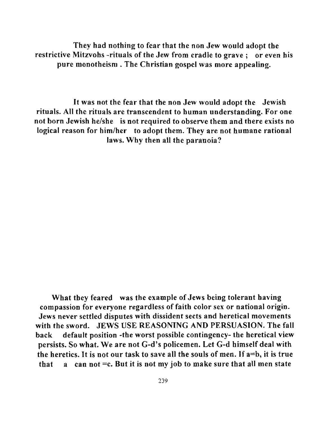They had nothing to fear that the non Jew would adopt the restrictive Mitzvohs -rituals of the Jew from cradle to grave; or even his pure monotheism. The Christian gospel was more appealing.

It was not the fear that the non Jew would adopt the Jewish rituals. All the rituals are transcendent to human understanding. For one not born Jewish he/she is not required to observe them and there exists no logical reason for him/her to adopt them. They are not humane rational laws. Why then all the paranoia?

What they feared was the example of Jews being tolerant having compassion for everyone regardless of faith color sex or national origin. Jews never settled disputes with dissident sects and heretical movements with the sword. JEWS USE REASONING AND PERSUASION. The fall back default position -the worst possible contingency- the heretical view persists. So what. We are not G-d's policemen. Let G-d himself deal with the heretics. It is not our task to save all the souls of men. **If** a=b, it is true that a can not  $=c$ . But it is not my job to make sure that all men state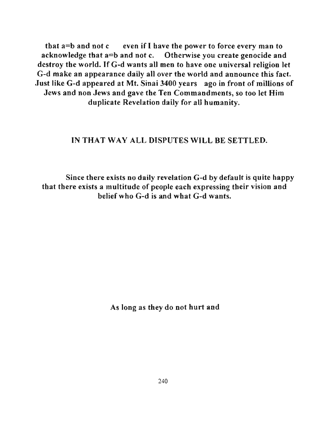that a=b and not c even if I have the power to force every man to acknowledge that a=b and not c. Otherwise you create genocide and destroy the world. If G-d wants all men to have one universal religion let G-d make an appearance daily all over the world and announce this fact. Just like G-d appeared at Mt. Sinai 3400 years ago in front of millions of Jews and non Jews and gave the Ten Commandments, so too let Him duplicate Revelation daily for all humanity.

### IN THAT WAY ALL DISPUTES WILL BE SETTLED.

Since there exists no daily revelation G-d by default is quite happy that there exists a multitude of people each expressing their vision and belief wbo G-d is and wbat G-d wants.

As long as tbey do not hurt and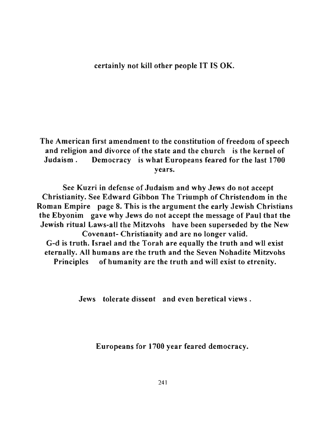#### certainly not kill other people IT IS OK.

The American first amendment to the constitution of freedom of speech and religion and divorce of the state and the church is the kernel of Judaism. Democracy is what Europeans feared for the last 1700 years.

See Kuzri in defense of Judaism and why Jews do not accept Christianity. See Edward Gibbon The Triumph of Christendom in the Roman Empire page 8. This is the argument the early Jewish Christians the Ebyonim gave why Jews do not accept the message of Paul that the Jewish ritual Laws-all the Mitzvohs have been superseded by the New Covenant- Christianity and are no longer valid. G-d is truth. Israel and the Torah are equally the truth and wll exist eternally. All humans are the truth and the Seven Nohadite Mitzvohs Principles of humanity are the truth and will exist to etrenity.

Jews tolerate dissent and even heretical views.

Europeans for 1700 year feared democracy.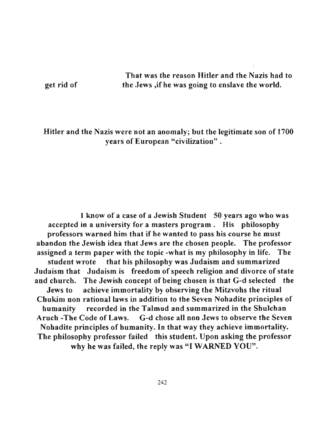get rid of

That was the reason Hitler and the Nazis had to the Jews ,if he was going to enslave the world.

## Hitler and the Nazis were not an anomaly; but the legitimate son of 1700 years of European "civilization" .

1 know of a case of a Jewish Student 50 years ago who was accepted in a university for a masters program. His philosopby professors warned him tbat if he wanted to pass his course he must abandon the Jewish idea that Jews are the chosen people. The professor assigned a term paper witb the topic -what is my philosophy in life. The student wrote that his philosophy was Judaism and summarized Judaism that Judaism is freedom of speech religion and divorce of state and cburch. The Jewisb concept of being chosen is that G-d selected the Jews to achieve immortality by observing the Mitzvohs the ritual Chukim non rational laws in addition to the Seven Nohadite principles of humanity recorded in the Talmud and summarized in the Shulchan Aruch -The Code of Laws. G-d cbose all non Jews to observe the Seven Nohadite principles of bumanity. **In** that way they achieve immortality. The philosophy professor failed this student. Upon asking the professor why he was failed, the reply was "I WARNED YOU".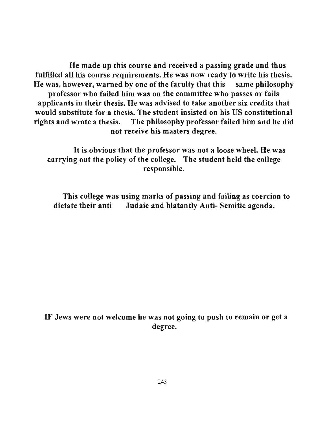He made up this course and received a passing grade and thus fulfilled all his course requirements. He was now ready to write his thesis. He was, however, warned by one of the faculty that this same philosophy professor who failed him was on the committee who passes or fails applicants in their thesis. He was advised to take another six credits that would substitute for a thesis. The student insisted on his US constitutional rights and wrote a thesis. The philosophy professor failed him and he did not receive his masters degree.

It is obvious that the professor was not a loose wheel. He was carrying out the policy of the college. The student held the college responsible.

This college was using marks of passing and failing as coercion to dictate their anti Judaic and blatantly Anti- Semitic agenda.

IF Jews were not welcome he was not going to push to remain or get a degree.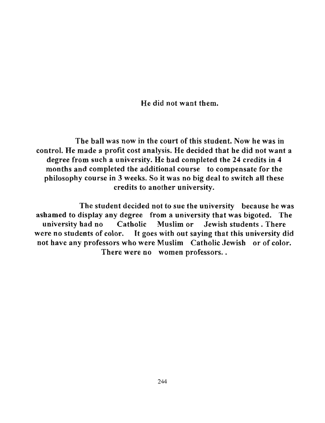He did not want them.

The ball was now in the court of this student. Now he was in control. He made a profit cost analysis. He decided that he did not want a degree from such a university. He had completed the 24 credits in 4 months and completed the additional course to compensate for the philosophy course in 3 weeks. So it was no big deal to switch all these credits to another university.

The student decided not to sue the university because he was ashamed to display any degree from a university that was bigoted. The university had no Catholic Muslim or Jewish students. There were no students of color. It goes with out saying that this university did not have any professors who were Muslim Catholic Jewish or of color. There were no women professors..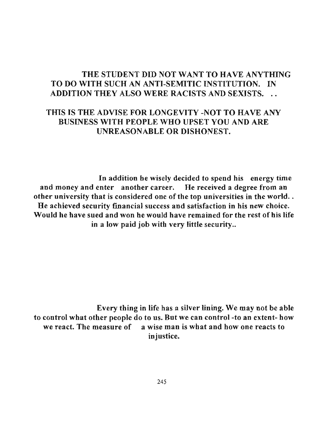# THE STUDENT DID NOT WANT TO HAVE ANYTHING TO DO WITH SUCH AN ANTI-SEMITIC INSTITUTION. IN ADDITION THEY ALSO WERE RACISTS AND SEXISTS. ..

# THIS IS THE ADVISE FOR LONGEVITY -NOT TO HAVE ANY BUSINESS WITH PEOPLE WHO UPSET YOU AND ARE UNREASONABLE OR DISHONEST.

In addition he wisely decided to spend his energy time and money and enter another career. He received a degree from an other university that is considered one of the top universities in the world.. He achieved security financial success and satisfaction in his new choice. Would he have sued and won he would have remained for the rest of his life in a low paid job with very little security..

Every thing in life has a silver lining. We may not be able to control what other people do to us. But we can control-to an extent- how we react. The measure of a wise man is what and how one reacts to injustice.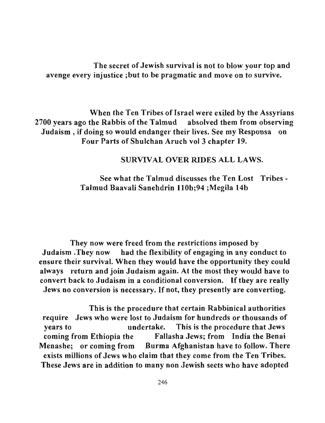The secret of Jewish survival is not to blow your top and avenge every injustice ;but to be pragmatic and move on to survive.

When the Ten Tribes of Israel were exiled by the Assyrians 2700 years ago the Rabbis of the Talmud absolved them from observing Judaism, if doing so would endanger their lives. See my Responsa on Four Parts of Shulchan Aruch vol 3 chapter 19.

### SURVIVAL OVER RIDES ALL LAWS.

See what the Talmud discusses the Ten Lost Tribes-Talmud Baavali Sanehdrin IlOb;94 ;Megila 14b

They now were freed from the restrictions imposed by Judaism .They now had the flexibility of engaging in any conduct to ensure their survival. When they would have the opportunity they could always return and join Judaism again. At the most they would have to convert back to Judaism in a conditional conversion. If they are really Jews no conversion is necessary. If not, they presently are converting.

This is the procedure that certain Rabbinical authorities require Jews who were lost to Judaism for hundreds or thousands of years to undertake. This is the procedure that Jews coming from Ethiopia the Fallasha Jews; from India the Benai Menashe; or coming from Burma Afghanistan have to follow. There exists millions of Jews who claim that they come from the Ten Tribes. These Jews are in addition to many non Jewish sects who have adopted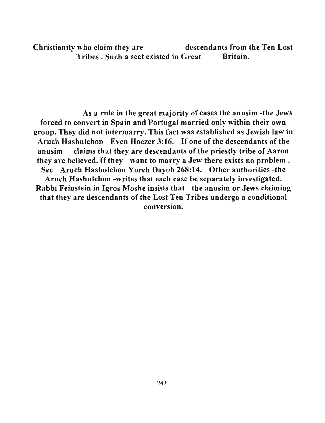Christianity who claim they are descendants from the Ten Lost Tribes. Such a sect existed in Great Britain.

As a rule in the great majority of cases the anusim -the Jews forced to convert in Spain and Portugal married only within their own group. They did not intermarry. This fact was established as Jewish law in Aruch Hashulchon Even Hoezer 3:16. If one of the descendants of the anusim claims that they are descendants of the priestly tribe of Aaron they are believed. If they want to marry a Jew there exists no problem. See Aruch Hashulchon Yoreh Dayoh 268:14. Other authorities -the Aruch Hashulchon -writes that each case be separately investigated. Rabbi Feinstein in Igros Moshe insists that the anusim or Jews claiming that they are descendants of the Lost Ten Tribes undergo a conditional conversion.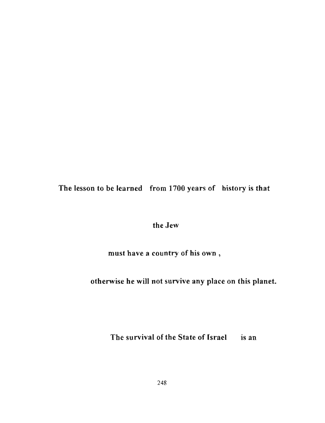The lesson to be learned from 1700 years of history is that

the Jew

must have a country of his own ,

otherwise he will not survive any place on this planet.

The survival of the State of Israel is an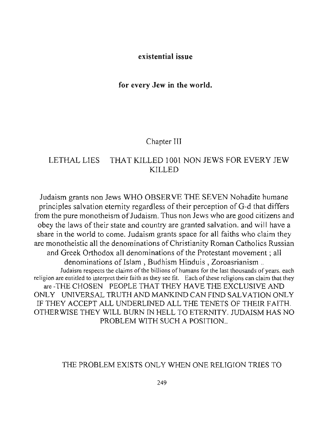#### **existential** issue

#### **for** every **Jew in the world.**

#### Chapter III

## LETHAL LIES THAT KILLED 1001 NON JEWS FOR EVERY JEW KILLED

Judaism grants non Jews WHO OBSERVE THE SEVEN Nohadite humane principles salvation eternity regardless of their perception ofG-d that differs from the pure monotheism of Judaism. Thus non Jews who are good citizens and obey the laws of their state and country are granted salvation. and will have a share in the world to come. Judaism grants space for all faiths who claim they are monotheistic all the denominations of Christianity Roman Catholics Russian and Greek Orthodox all denominations of the Protestant movement; all denominations of Islam, Budhism Hinduis, Zoroasrianism... **Judaism respects the claims** of the **billions** of humans **for the last thousands** of years. **each religion are entitled to interpret their faith as they see fit. Each** of these **religions can claim that they**  are -THE CHOSEN PEOPLE THAT THEY HAVE THE EXCLUSIVE AND ONLY UNIVERSAL TRUTH AND MANKIND CAN FIND SALVATION ONLY IF THEY ACCEPT ALL UNDERLINED ALL THE TENETS OF THEIR FAITH. OTHER WISE THEY WILL BURN IN HELL TO ETERNITY. JUDAISM HAS NO PROBLEM WITH SUCH A POSITION...

#### THE PROBLEM EXJSTS ONLY WHEN ONE RELIGION TRIES TO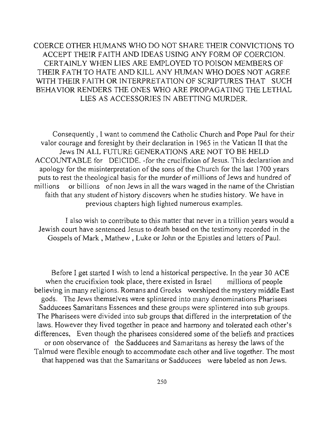COERCE OTHER HUMANS WHO DO NOT SHARE THEIR CONVICTIONS TO ACCEPT THEIR FAITH AND IDEAS USING ANY FORM OF COERCION. CERTAINLY WHEN LIES ARE EMPLOYED TO POISON MEMBERS OF THEIR FATH TO HATE AND KILL ANY HUMAN WHO DOES NOT AGREE WITH THEIR FAITH OR INTERPRETATION OF SCRIPTURES THAT SUCH BEHAVIOR RENDERS THE ONES WHO ARE PROPAGATING THE LETHAL LIES AS ACCESSORIES IN ABETTING MURDER.

Consequently , I want to commend the Catholic Church and Pope Paul for their valor courage and foresight by their declaration in 1965 in the Vatican II that the Jews IN ALL FUTURE GENERATIONS ARE NOT TO BE HELD ACCOUNT ABLE for DEICIDE. -for the crucifixion of Jesus. This declaration and apology for the misinterpretation of the sons of the Church for the last 1700 years puts to rest the theological basis for the murder of millions of Jews and hundred of millions or billions of non Jews in all the wars waged in the name of the Christian faith that any student of history discovers when he studies history. We have in previous chapters high lighted numerous examples.

I also wish to contribute to this matter that never in a trillion years would a Jewish court have sentenced Jesus to death based on the testimony recorded in the Gospels of Mark, Mathew, Luke or John or the Epistles and letters of Paul.

Before I get started I wish to lend a historical perspective. In the year 30 ACE when the crucifixion took place, there existed in Israel millions of people believing in many religions. Romans and Greeks worshiped the mystery middle East gods. The Jews themselves were splintered into many denominations Pharisees Sadducees Samaritans Essences and these groups were splintered into sub groups. The Pharisees were divided into sub groups that differed in the interpretation of the laws. However they lived together in peace and harmony and tolerated each other's differences, Even though the pharisees considered some of the beliefs and practices or non observance of the Sadducees and Samaritans as heresy the laws of the Talmud were flexible enough to accommodate each other and live together. The most that happened was that the Samaritans or Sadducees were labeled as non Jews.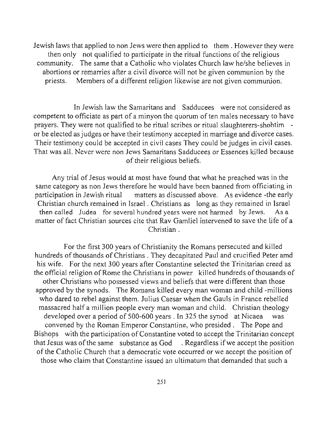Jewish laws that applied to non Jews were then applied to them. However they were then only not qualified to participate in the ritual functions of the religious community. The same that a Catholic who violates Church law *helshe* believes in abortions or remarries after a civil divorce will not be given communion by the priests. Members of a different religion likewise are not given communion.

In Jewish law the Samaritans and Sadducees were not considered as competent to officiate as part of a minyon the quorum of ten males necessary to have prayers. They were not qualified to be ritual scribes or ritual slaughterers-shohtim or be elected as judges or have their testimony accepted in marriage and divorce cases. Their testimony could be accepted in civil cases They could be judges in civil cases. That was all. Never were non Jews Samaritans Sadducees or Essences killed because of their religious beliefs.

Any trial of Jesus would at most have found that what he preached was in the same category as non Jews therefore he would have been banned from officiating in participation in Jewish ritual matters as discussed above. As evidence -the early Christian church remained in Israel. Christians as long as they remained in Israel then called Judea for several hundred years were not harmed by Jews. As a matter of fact Christian sources cite that Rav Gamliel intervened to save the life of a Christian.

For the first 300 years of Christianity the Romans persecuted and killed hundreds of thousands of Christians . They decapitated Paul and crucified Peter amd his wife. For the next 300 years after Constantine selected the Trinitarian creed as the official religion of Rome the Christians in power killed hundreds of thousands of other Christians who possessed views and beliefs that were different than those approved by the synods. The Romans killed every man woman and child -millions who dared to rebel against them. Julius Caesar when the Gauls in France rebelled massacred half a million people every man woman and child. Christian theology developed over a period of 500-600 years. In 325 the synod at Nicaea was convened by the Roman Emperor Constantine, who presided. The Pope and Bishops with the participation of Constantine voted to accept the Trinitarian concept that Jesus was of the same substance as God . Regardless if we accept the position of the Catholic Church that a democratic vote occurred or we accept the position of those who claim that Constantine issued an ultimatum that demanded that such a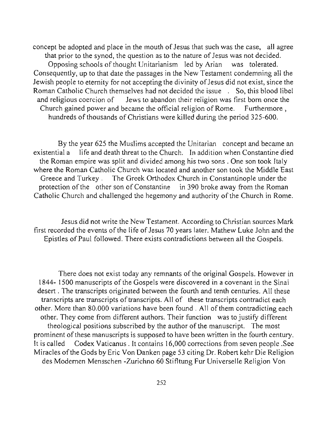concept be adopted and place in the mouth of Jesus that such was the case, all agree that prior to the synod, the question as to the nature of Jesus was not decided. Opposing schools of thought Unitarianism led by Arian was tolerated. Consequently, up to that date the passages in the New Testament condemning all the Jewish people to eternity for not accepting the divinity of Jesus did not exist, since the Roman Catholic Church themselves had not decided the issue . So, this blood libel and religious coercion of Jews to abandon their religion was first born once the Church gained power and became the official religion of Rome. Furthermore, hundreds of thousands of Christians were killed during the period 325-600.

By the year 625 the Muslims accepted the Unitarian concept and became an existential a life and death threat to the Church. In addition when Constantine died the Roman empire was split and divided among his two sons. One son took Italy where the Roman Catholic Church was located and another son took the Middle East Greece and Turkey . The Greek Orthodox Church in Constantinople under the protection of the other son of Constantine in 390 broke away from the Roman Catholic Church and challenged the hegemony and authority of the Church in Rome.

Jesus did not write the New Testament. According to Christian sources Mark first recorded the events of the life of Jesus 70 years later. Mathew Luke John and the Epistles of Paul followed. There exists contradictions between all the Gospels.

There does not exist today any remnants of the original Gospels. However in 1844- 1500 manuscripts of the Gospels were discovered in a covenant in the Sinai desert. The transcripts originated between the fourth and tenth centuries. All these transcripts are transcripts of transcripts. All of these transcripts contradict each other. More than 80.000 variations have been found. All of them contradicting each other. They come from different authors. Their function was to justify different theological positions subscribed by the author of the manuscript. The most prominent of these manuscripts is supposed to have been written in the fourth century. It is called Codex Vaticanus . It contains 16,000 corrections from seven people . See Miracles of the Gods by Eric Von Danken page 53 citing Dr. Robert kehr Die Religion des Modernen Mensschen -Zurichno 60 Stifltung Fur Universelle Religion Von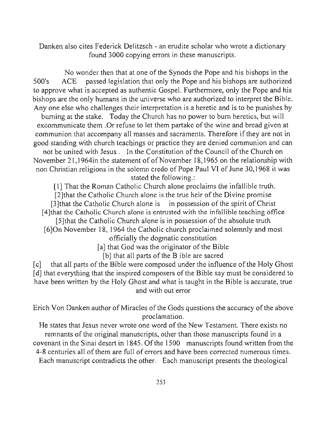Danken also cites Federick Delitzsch - an erudite scholar who wrote a dictionary found 3000 copying errors in these manuscripts.

No wonder then that at one of the Synods the Pope and his bishops in the 500's ACE passed legislation that only the Pope and his bishops are authorized to approve what is accepted as authentic Gospel. Furthermore, only the Pope and his bishops are the only humans in the universe who are authorized to interpret the Bible. Anyone else who challenges their interpretation is a heretic and is to be punishes by burning at the stake. Today the Church has no power to bum heretics, but will excommunicate them .Or refuse to let them partake of the wine and bread given at communion that accompany all masses and sacraments. Therefore if they are not in good standing with church teachings or practice they are denied communion and can not be united with Jesus. In the Constitution of the Council of the Church on November 21,l964in the statement of of November 18,1965 on the relationship with non Christian religions in the solemn credo of Pope Paul VI of June 30,1968 it was stated the following.:

[I] That the Roman Catholic Church alone proclaims the infallible truth. [2] that the Catholic Church alone is the true heir of the Divine promise [3]that the Catholic Church alone is in possession of the spirit of Christ [4]that thc Catholic Church alone is entrusted with the infallible teaching office [5] that the Catholic Church alone is in possession of the absolute truth [6]On November 18, 1964 the Catholic church proclaimed solemnly and most officially the dogmatic constitution

[a] that God was the originator of the Bible

[b] that all parts of the B ible are sacred

[c] that all parts of the Bible were composed under the influence of the Holy Ghost [d] that everything that the inspired composers of the Bible say must be considered to have been written by the Holy Ghost and what is taught in the Bible is accurate, true and with out error

Erich Von Danken author of Miracles of the Gods questions the accuracy of the above proclamation.

He states that Jesus never wrote one word of the New Testament. There exists no remnants of the original manuscripts, other than those manuscripts found in a covenant in the Sinai desert in 1845. Of the 1500 manuscripts found written from the 4-8 centuries all of them are full of errors and have been corrected numerous times. Each manuscript contradicts the other. Each manuscript presents the theological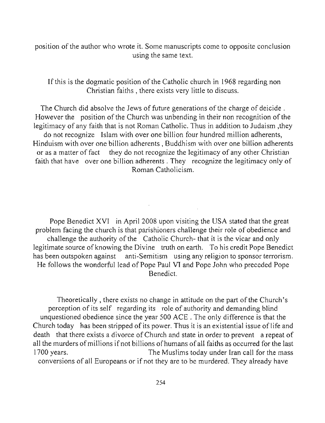position of the author who wrote it. Some manuscripts come to opposite conclusion using the same text.

If this is the dogmatic position of the Catholic church in 1968 regarding non Christian faiths, there exists very little to discuss.

The Church did absolve the Jews of future generations of the charge of deicide . However the position of the Church was unbending in their non recognition of the legitimacy of any faith that is not Roman Catholic. Thus in addition to Judaism ,they do not recognize Islam with over one billion four hundred million adherents, Hinduism with over one billion adherents, Buddhism with over one billion adherents or as a matter of fact they do not recognize the legitimacy of any other Christian faith that have over one billion adherents . They recognize the legitimacy only of Roman Catholicism.

Pope Benedict XVI in April 2008 upon visiting the USA stated that the great problem facing the church is that parishioners challenge their role of obedience and challenge the authority of the Catholic Church- that it is the vicar and only legitimate source of knowing the Divine truth on earth. To his credit Pope Benedict has been outspoken against anti-Semitism using any religion to sponsor terrorism. He follows the wonderful lead of Pope Paul VI and Pope John who preceded Pope Benedict.

Theoretically, there exists no change in attitude on the part of the Church's perception of its self regarding its role of authority and demanding blind unquestioned obedience since the year 500 ACE. The only difference is that the Church today has been stripped of its power. Thus it is an existential issue of life and death that there exists a divorce of Church and state in order to prevent a repeat of all the murders of millions ifnot billions of humans of all faiths as occurred for the last 1700 years. The Muslims today under Iran call for the mass conversions of all Europeans or if not they are to be murdered. They already have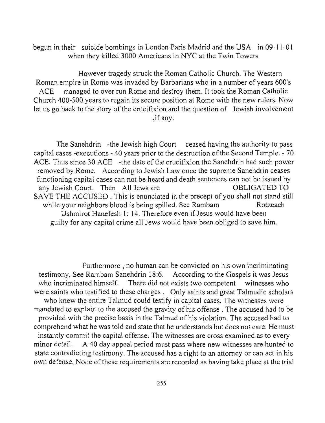begun in their suicide bombings in London Paris Madrid and the USA in 09-1 1-0 I when they killed 3000 Americans in NYC at the Twin Towers

However tragedy struck the Roman Catholic Church. The Western Roman empire in Rome was invaded by Barbarians who in a number of years 600's ACE managed to over run Rome and destroy them. It took the Roman Catholic Church 400-500 years to regain its secure position at Rome with the new rulers. Now let us go back to the story of the crucifixion and the question of Jewish involvement **,if any.** 

The Sanehdrin -the Jewish high Court ceased having the authority to pass capital cases -executions - 40 years prior to the destruction of the Second Temple. - 70 ACE. Thus since 30 ACE -the date of the crucifixion the Sanehdrin had such power removed by Rome. According to Jewish Law once the supreme Sanehdrin ceases **functioning capital cases can not be heard and death sentences can not be issued by**  any Jewish Court. Then All Jews are **OBLIGATED TO** SAVE THE ACCUSED . This is enunciated in the precept of you shall not stand still while your neighbors blood is being spilled. See Rambam Rotzeach Uslunirot Hanefesh 1: 14. Therefore even if Jesus would have been guilty for any capital crime all Jews would have been obliged to save him.

**Furthermore, no human can be convicted on his own incriminating**  testimony, See Rambam Sanehdrin 18:6. According to the Gospels it was Jesus who incriminated himself. There did not exists two competent witnesses who were saints who testified to these charges. Only saints and great Talmudic scholars who knew the entire Talmud could testify in capital cases. The witnesses were mandated to explain to the accused the gravity of his offense. The accused had to be provided with the precise basis in the Talmud of his violation. The accused had to comprehend what he was told and state that he understands but does not care. He must instantly commit the capital offense. The witnesses are cross examined as to every minor detail. A 40 day appeal period must pass where new witnesses are hunted to state contradicting testimony. The accused has a right to an attorney or can act in his own defense. None of these requirements are recorded as having take place at the trial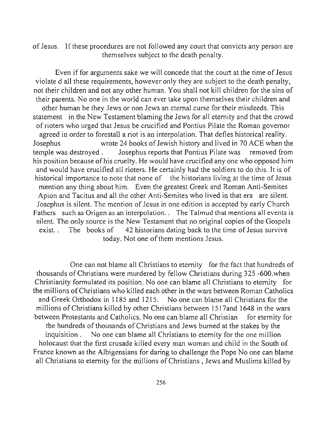of Jesus. If these procedures are not followed any court that convicts any person are themselves subject to the death penalty.

Even if for arguments sake we will concede that the court at the time of Jesus violate d all these requirements, however only they are subject to the death penalty, not their children and not any other human. You shall not kill children for the sins of their parents. No one in the world can ever take upon themselves their children and other human be they Jews or non Jews an eternal curse for their misdeeds. This statement in the New Testament blaming the Jews for all eternity and that the crowd of rioters who urged that Jesus be crucified and Pontius Pilate the Roman governor agreed in order to forestall a riot is an interpolation. That defies historical reality. Josephus wrote 24 books of Jewish history and lived in 70 ACE when the temple was destroyed . Josephus reports that Pontius Pilate was removed from his position because of his cruelty. He would have crucified anyone who opposed him and would have crucified all rioters. He certainly had the soldiers to do this. It is of historical importance to note that none of the historians living at the time of Jesus mention any thing about him. Even the greatest Greek and Roman Anti-Semites Apion and Tacitus and all the other Anti-Semites who lived in that era are silent. Josephus is silent. The mention of Jesus in one edition is accepted by early Church **Fathers such as Origen as an interpolation.. The Talmud that mentions all events is**  silent. The only source is the New Testament that no original copies of the Gospels exist.. The books of 42 historians dating back to the time of Jesus survive today. Not one of them mentions Jesus.

One can not blame all Christians to eternity for the fact that hundreds of thousands of Christians were murdered by fellow Christians during 325 -600.when Christianity formulated its position. No one can blame all Christians to eternity for the millions of Christians who killed each other in the wars between Roman Catholics and Greek Orthodox in 1185 and 1215. No one can blame all Christians for the millions of Christians killed by other Christians between 1517and 1648 in the wars between Protestants and Catholics. No one can blame all Christian for eternity for the hundreds of thousands of Christians and Jews burned at the stakes by the inquisition . No one can blame all Christians to eternity for the one million holocaust that the first crusade killed every man woman and child in the South of France known as the Albigensians for daring to challenge the Pope No one can blame all Christians to eternity for the millions of Christians, Jews and Muslims killed by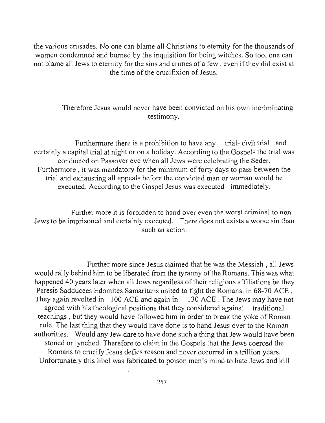the various crusades. No one can blame all Christians to eternity for the thousands of women condemned and burned by the inquisition for being witches. So too, one can not blame all Jews to eternity for the sins and crimes of a few, even if they did exist at the time of the crucifixion of Jesus.

### Therefore Jesus would never have been convicted on his own incriminating testimony.

Furthermore there is a prohibition to have any trial-civil trial and certainly a capital trial at night or on a holiday. According to the Gospels the trial was conducted on Passover eve when all Jews were celebrating the Seder. Furthermore, it was mandatory for the minimum of forty days to pass between the trial and exhausting all appeals before the convicted man or woman would be executed. According to the Gospel Jesus was executed immediately.

**Further more it is forbidden to hand over even the worst criminal to non**  Jews to be imprisoned and certainly executed. There does not exists a worse sin than **such an action.** 

Further more since Jesus claimed that he was the Messiah, all Jews would rally behind him to be liberated from the tyranny of the Romans. This was what happened 40 years later when all Jews regardless of their religious affiliations be they Paresis Sadducees Edomites Samaritans united to fight the Romans. in 68-70 ACE, They again revolted in 100 ACE and again in 130 ACE. The Jews may have not agreed with his theological positions that they considered against traditional teachings, but they would have followed him in order to break the yoke of Roman rule. The last thing that they would have done is to hand Jesus over to the Roman authorities. Would any Jew dare to have done such a thing that Jew would have been stoned or lynched. Therefore to claim in the Gospels that the Jews coerced the Romans to crucifY Jesus defies reason and never occurred in a trillion years. Unfortunately this libel was fabricated to poison men's mind to hate Jews and kill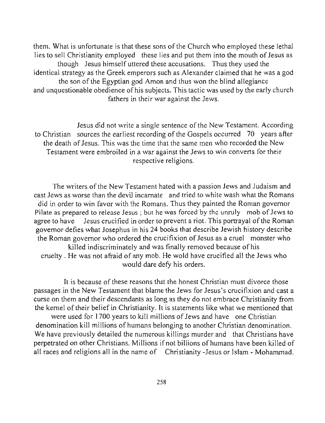them. What is unfortunate is that these sons of the Church who employed these lethal lies to sell Christianity employed these lies and put them into the mouth of Jesus as though Jesus himself uttered these accusations. Thus they used the identical strategy as the Greek emperors such as Alexander claimed that he was a god the son of the Egyptian god Arnon and thus won the blind allegiance and unquestionable obedience of his subjects. This tactic was used by the early church fathers in their war against the Jews.

Jesus did not write a single sentence of the New Testament. According to Christian sources the earliest recording of the Gospels occurred 70 years after the death of Jesus. This was the time that the same men who recorded the New Testament were embroiled in a war against the Jews to win converts for their respective religions.

The writers of the New Testament hated with a passion Jews and Judaism and cast Jews as worse than the devil incarnate and tried to white wash what the Romans did in order to win favor with the Romans. Thus they painted the Roman governor Pilate as prepared to release Jesus; but he was forced by the unruly mob of Jews to agree to have Jesus crucified in order to prevent a riot. This portrayal of the Roman governor defies what Josephus in his 24 books that describe Jewish history describe the Roman governor who ordered the crucifixion of Jesus as a cruel monster who killed indiscriminately and was finally removed because of his cruelty. He was not afraid of any mob. He wold have crucified all the Jews who would dare defy his orders.

It is because of these reasons that the honest Christian must divorce those passages in the New Testament that blame the Jews for Jesus's crucifixion and cast a curse on them and their descendants as long as they do not embrace Christianity from the kernel of their belief in Christianity. It is statements like what we mentioned that

were used for 1700 years to kill millions of Jews and have one Christian denomination kill millions of humans belonging to another Christian denomination. We have previously detailed the numerous killings murder and that Christians have perpetrated on other Christians. Millions ifnot billions of humans have been killed of all races and religions all in the name of Christianity -Jesus or Islam - Mohammad.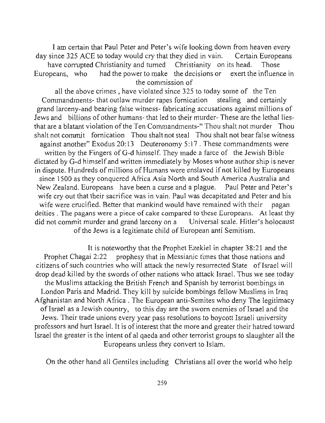I am certain that Paul Peter and Peter's wife looking down from heaven every day since 325 ACE to today would cry that they died in vain. Certain Europeans have corrupted Christianity and turned Christianity on its head. Those Europeans, who had the power to make the decisions or exert the influence in the commission of

all the above crimes, have violated since 325 to today some of the Ten Commandments- that outlaw murder rapes fornication stealing and certainly grand larceny-and bearing false witness- fabricating accusations against millions of Jews and billions of other humans- that led to their murder-These are the lethal liesthat are a blatant violation of the Ten Commandments-" Thou shalt not murder Thou shalt not commit fornication Thou shalt not steal Thou shalt not bear false witness against another" Exodus 20:13 Deuteronomy 5:17. These commandments were written by the Fingers of G-d himself. They made a farce of the Jewish Bible dictated by G-d himself and written immediately by Moses whose author ship is never in dispute. Hundreds of millions of Humans were enslaved if not killed by Europeans since 1500 as they conquered Africa Asia North and South America Australia and New Zealand. Europeans have been a curse and a plague. Paul Peter and Peter's wife cry out that their sacrifice was in vain. Paul was decapitated and Peter and his wife were crucified. Better that mankind would have remained with their pagan **deities. The pagans were a piece of cake compared to these Europeans. At least thy**  did not commit murder and grand larceny on a Universal scale. Hitler's holocaust of the Jews is a legitimate child of European anti Semitism.

It is noteworthy that the Prophet Ezekiel in chapter 38:21 and the Prophet Chagai 2:22 prophesy that in Messianic times that those nations and citizens of such countries who will attack the newly resurrected State of Israel will drop dead killed by the swords of other nations who attack Israel. Thus we see today the Muslims attacking the British French and Spanish by terrorist bombings in London Paris and Madrid. They kill by suicide bombings fellow Muslims in Iraq Afghanistan and North Africa . The European anti-Semites who deny The legitimacy of Israel as a Jewish country, to this day are the sworn enemies of Israel and the Jews. Their trade unions every year pass resolutions to boycott Israeli university professors and hurt Israel. It is of interest that the more and greater their hatred toward Israel the greater is the intent of al qaeda and other terrorist groups to slaughter all the Europeans unless they convert to Islam.

On the other hand all Gentiles including Christians all over the world who help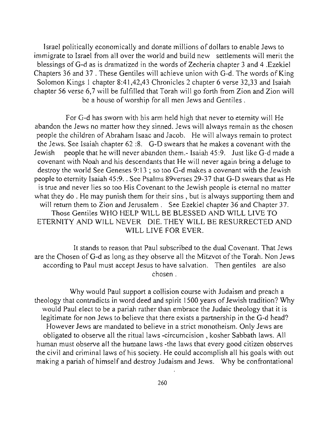Israel politically economically and donate millions of dollars to enable Jews to immigrate to Israel from all over the world and build new settlements will merit the blessings of G-d as is dramatized in the words of Zecheria chapter 3 and 4. Ezekiel Chapters 36 and 37 . These Gentiles will achieve union with G-d. The words of King Solomon Kings I chapter 8:41,42,43 Chronicles 2 chapter 6 verse 32,33 and Isaiah chapter 56 verse 6,7 will be fulfilled that Torah will go forth from Zion and Zion will be a house of worship for all men Jews and Gentiles.

For G-d has sworn with his arm held high that never to eternity will He abandon the Jews no matter how they sinned. Jews will always remain as the chosen people the children of Abraham Isaac and Jacob. He will always remain to protect the Jews. See Isaiah chapter 62 :8. G-D swears that he makes a covenant with the Jewish people that he will never abandon them.- Isaiah 45:9. Just like G-d made a covenant with Noah and his descendants that He will never again bring a deluge to destroy the world See Geneses 9: 13 ; so too G-d makes a covenant with the Jewish people to eternity Isaiah 45:9 . . See Psalms 89verses 29-37 that G-D swears that as He is true and never lies so too His Covenant to the Jewish people is etemal no matter what they do . He may punish them for their sins, but is always supporting them and will return them to Zion and Jerusalem . See Ezekiel chapter 36 and Chapter 37. Those Gentiles WHO HELP WILL BE BLESSED AND WILL LIVE TO ETERNITY AND WILL NEVER DIE. THEY WILL BE RESURRECTED AND WILL LIVE FOR EVER.

It stands to reason that Paul subscribed to the dual Covenant. That Jews are the Chosen of G-d as long as they observe all the Mitzvot of the Torah. Non Jews according to Paul must accept Jesus to have salvation. Then gentiles are also chosen.

Why would Paul support a collision course with Judaism and preach a theology that contradicts in word deed and spirit 1500 years of Jewish tradition? Why would Paul elect to be a pariah rather than embrace the Judaic theology that it is legitimate for non Jews to believe that there exists a partnership in the G-d head? However Jews are mandated to believe in a strict monotheism. Only Jews are obligated to observe all the ritual laws -circumcision , kosher Sabbath laws. All human must observe all the humane laws -the laws that every good citizen observes the civil and criminal laws of his society. He could accomplish all his goals with out making a pariah of himself and destroy Judaism and Jews. Why be confrontational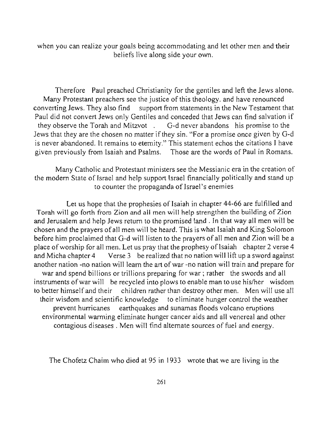when you can realize your goals being accommodating and let other men and their beliefs live along side your own.

Therefore Paul preached Christianity for the gentiles and left the Jews alone. Many Protestant preachers see the justice of this theology. and have renounced converting Jews. They also find support from statements in the New Testament that Paul did not convert Jews only Gentiles and conceded that Jews can find salvation if they observe the Torah and Mitzvot. G-d never abandons his promise to the Jews that they are the chosen no matter if they sin. "For a promise once given by G-d is never abandoned. It remains to eternity." This statement echos the citations I have given previously from Isaiah and Psalms. Those are the words of Paul in Romans.

Many Catholic and Protestant ministers see the Messianic era in the creation of the modem State of Israel and help support Israel financially politically and stand up to counter the propaganda of Israel's enemies

Let us hope that the prophesies of Isaiah in chapter 44-66 are fulfilled and Torah will go forth from Zion and all men will help strengthen the building of Zion and Jerusalem and help Jews return to the promised land. In that way all men will be chosen and the prayers of all men will be heard. This is what Isaiah and King Solomon before him proclaimed that G-d will listen to the prayers of all men and Zion will be a place of worship for all men. Let us pray that the prophesy of Isaiah chapter 2 verse 4 and Micha chapter 4 Verse 3 be realized that no nation will lift up a sword against another nation -no nation will learn the art of war -no nation will train and prepare for war and spend billions or trillions preparing for war; rather the swords and all instruments of war will be recycled into plows to enable man to use his/her wisdom to better himself and their children rather than destroy other men. Men will use all their wisdom and scientific knowledge to eliminate hunger control the weather prevent hurricanes earthquakes and sunamas floods volcano eruptions environmental warming eliminate hunger cancer aids and all venereal and other contagious diseases. Men will find alternate sources of fuel and energy.

The Chofetz Chaim who died at 95 in 1933 wrote that we are living in the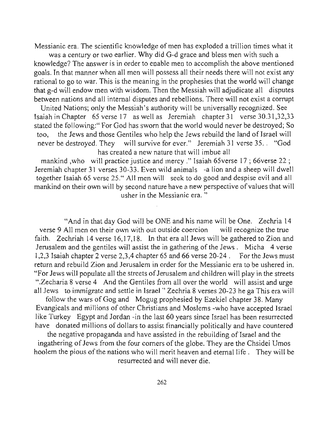Messianic era. The scientific knowledge of men has exploded a trillion times what it

was a century or two earlier. Why did G-d grace and bless men with such a knowledge? The answer is in order to enable men to accomplish the above mentioned goals. In that manner when all men will possess all their needs there will not exist any rational to go to war. This is the meaning in the prophesies that the world will change that g-d will endow men with wisdom. Then the Messiah will adjudicate all disputes between nations and all internal disputes and rebellions. There will not exist a corrupt

United Nations; only the Messiah's authority will be universally recognized. See Isaiah in Chapter 65 verse 17 as well as Jeremiah chapter 31 verse 30.31,32,33 stated the following:" For God has sworn that the world would never be destroyed; So too, the Jews and those Gentiles who help the Jews rebuild the land of Israel will never be destroyed. They will survive for ever." Jeremiah 31 verse 35.. "God has created a new nature that will imbue all

mankind ,who will practice justice and mercy." Isaiah 65verse 17; 66verse 22 ; Jeremiah chapter 31 verses 30-33. Even wild animals -a lion and a sheep will dwell together Isaiah 65 verse 25." All men will seek to do good and despise evil and all mankind on their own will by second nature have a new perspective of values that will **usher in the Messianic era. "** 

"And in that day God will be ONE and his name will be One. Zechria 14 **verse 9 All men on their own with out outside coercion will recognize the true**  faith. Zechriah 14 verse 16,17,18. In that era all Jews will be gathered to Zion and Jerusalem and the gentiles will assist the in gathering of the Jews. Micha 4 verse 1,2,3 Isaiah chapter 2 verse 2,3,4 chapter 65 and 66 verse 20-24. For the Jews must return and rebuild Zion and Jerusalem in order for the Messianic era to be ushered in. "For Jews will populate all the streets of Jerusalem and children will play in the streets ".zecharia 8 verse 4 And the Gentiles from all over the world will assist and urge all Jews to immigrate and settle in Israel" Zechria 8 verses 20-23 he ga This era will follow the wars of Gog and Mogug prophesied by Ezekiel chapter 38. Many Evangicals and millions of other Christians and Moslems -who have accepted Israel like Turkey Egypt and Jordan -in the last 60 years since Israel has been resurrected have donated millions of dollars to assist financially politically and have countered the negative propaganda and have assisted in the rebuilding of Israel and the ingathering of Jews from the four corners of the globe. They are the Chsidei Umos hoolem the pious of the nations who will merit heaven and eternal life . They will be

resurrected and will never die.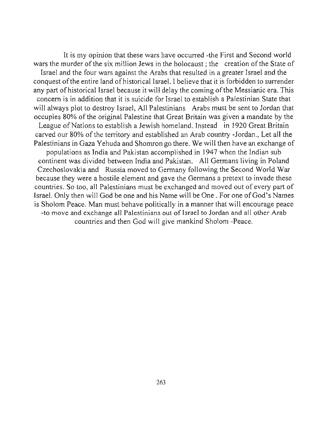It is my opinion that these wars have occurred -the First and Second world wars the murder of the six million Jews in the holocaust; the creation of the State of Israel and the four wars against the Arabs that resulted in a greater Israel and the conquest of the entire land of historical Israel. I believe that it is forbidden to surrender any part of historical Israel because it will delay the coming of the Messianic era. This concern is in addition that it is suicide for Israel to establish a Palestinian State that will always plot to destroy Israel, All Palestinians Arabs must be sent to Jordan that occupies 80% of the original Palestine that Great Britain was given a mandate by the League of Nations to establish a Jewish homeland. Instead in 1920 Great Britain carved our 80% of the territory and established an Arab country -Jordan., Let all the Palestinians in Gaza Yehuda and Shomron go there. We will then have an exchange of populations as India and Pakistan accomplished in 1947 when the Indian sub continent was divided between India and Pakistan. All Germans living in Poland Czechoslovakia and Russia moved to Germany following the Second World War because they were a hostile element and gave the Germans a pretext to invade these countries. So too, all Palestinians must be exchanged and moved out of every part of [srael. Only then will God be one and his Name will be One. For one of God's Names is Sholom Peace. Man must behave politically in a manner that will encourage peace **-to move and exchange all Palestinians out** of Israel **to Jordan and all other Arab**  countries and then God will give mankind Sholom -Peace.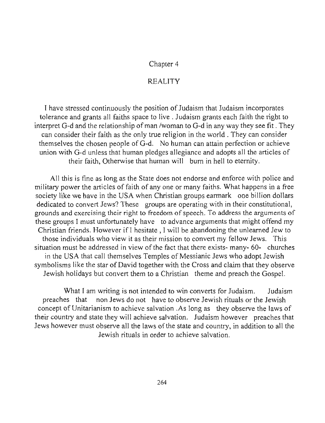#### Chapter 4

#### REALITY

I have stressed continuously the position of Judaism that Judaism incorporates tolerance and grants all faiths space to live. Judaism grants each faith the right to interpret G-d and the relationship of man *Iwoman* to G-d in any way they see fit. They can consider their faith as the only true religion in the world . They can consider themselves the chosen people of G-d. No human can attain perfection or achieve union with G-d unless that human pledges allegiance and adopts all the articles of their faith, Otherwise that human will bum in hell to eternity.

All this is fine as long as the State does not endorse and enforce with police and military power the articles of faith of anyone or many faiths. What happens in a free society like we have in the USA when Christian groups earmark one billion dollars dedicated to convert Jews? These groups are operating with in their constitutional, **grounds and exercising their right to freedom of speech. To address the arguments of**  these groups I must unfortunately have to advance arguments that might offend my Christian friends. However if I hesitate, I will be abandoning the unlearned Jew to those individuals who view it as their mission to convert my fellow Jews. This situation must be addressed in view of the fact that there exists- many- 60- churches in the USA that call themselves Temples of Messianic Jews who adopt Jewish symbolisms like the star of David together with the Cross and claim that they observe Jewish holidays but convert them to a Christian theme and preach the Gospel.

What I am writing is not intended to win converts for Judaism. Judaism preaches that non Jews do not have to observe Jewish rituals or the Jewish concept of Unitarianism to achieve salvation .As long as they observe the laws of their country and state they will achieve salvation. Judaism however preaches that Jews however must observe all the laws of the state and country, in addition to all the Jewish rituals in order to achieve salvation.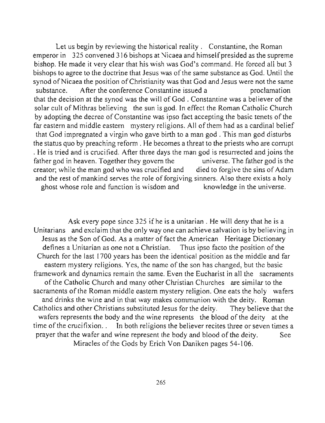Let us begin by reviewing the historical reality. Constantine, the Roman emperor in 325 convened 316 bishops at Nicaea and himself presided as the supreme bishop. He made it very clear that his wish was God's command. He forced all but 3 bishops to agree to the doctrine that Jesus was of the same substance as God. Until the synod of Nicaea the position of Christianity was that God and Jesus were not the same substance. After the conference Constantine issued a proclamation that the decision at the synod was the will of God. Constantine was a believer of the solar cult of Mithras believing the sun is god. In effect the Roman Catholic Church by adopting the decree of Constantine was ipso fact accepting the basic tenets of the far eastern and middle eastern mystery religions. All of them had as a cardinal belief that God impregnated a virgin who gave birth to a man god. This man god disturbs the status quo by preaching reform. He becomes a threat to the priests who are corrupt . He is tried and is crucified. After three days the man god is resurrected and joins the father god in heaven. Together they govern the universe. The father god is the creator; while the man god who was crucified and died to forgive the sins of Adam and the rest of mankind serves the role of forgiving sinners. Also there exists a holy ghost whose role and function is wisdom and knowledge in the universe.

Ask every pope since 325 ifhe is a unitarian. He will deny that he is a Unitarians and exclaim that the only way one can achieve salvation is by believing in Jesus as the Son of God. As a matter of fact the American Heritage Dictionary defines a Unitarian as one not a Christian. Thus ipso facto the position of the Church for the last 1700 years has been the identical position as the middle and far eastern mystery religions. Yes, the name of the son has changed, but the basic framework and dynamics remain the same. Even the Eucharist in all the sacraments of the Catholic Church and many other Christian Churches are similar to the sacraments of the Roman middle eastern mystery religion. One eats the holy wafers and drinks the wine and in that way makes communion with the deity. Roman Catholics and other Christians substituted Jesus for the deity. They believe that the wafers represents the body and the wine represents the blood of the deity at the time of the crucifixion. . In both religions the believer recites three or seven times a prayer that the wafer and wine represent the body and blood of the deity. See Miracles of the Gods by Erich Von Daniken pages 54-106.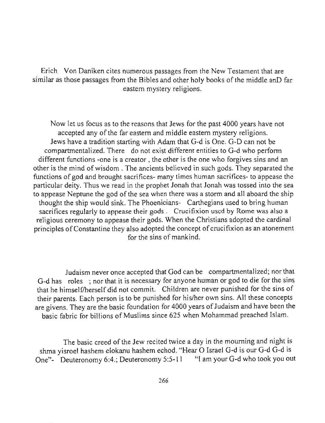Erich Von Daniken cites numerous passages from the New Testament that are similar as those passages from the Bibles and other holy books of the middle anD far eastern mystery religions.

Now let us focus as to the reasons that Jews for the past 4000 years have not accepted any of the far eastern and middle eastern mystery religions. Jews have a tradition starting with Adam that G-d is One. G-D can not be compartmentalized. There do not exist different entities to G-d who perform different functions -one is a creator. the other is the one who forgives sins and an other is the mind of wisdom . The ancients believed in such gods. They separated the functions of god and brought sacrifices- many times human sacrifices- to appease the particular deity. Thus we read in the prophet Jonah that Jonah was tossed into the sea to appease Neptune the god of the sea when there was a storm and all aboard the ship thought the ship would sink. The Phoenicians- Carthegians used to bring human sacrifices regularly to appease their gods. Crucifixion used by Rome was also a religious ceremony to appease their gods. When the Christians adopted the cardinal principles of Constantine they also adopted the concept of crucifixion as an atonement for the sins of mankind.

Judaism never once accepted that God can be compartmentalized; nor that G-d has roles ; nor that it is necessary for anyone human or god to die for the sins that he himself/herself did not commit. Children are never punished for the sins of their parents. Each person is to be punished for his/her own sins. All these concepts are givens. They are the basic foundation for 4000 years of Judaism and have been the basic fabric for billions of Muslims since 625 when Mohammad preached Islam.

The basic creed of the Jew recited twice a day in the mourning and night is shma yisroel hashem elokanu hashem echod. "Hear 0 Israel G-d is our G-d G-d is One"- Deuteronomy 6:4.; Deuteronomy 5:5-11 "I am your G-d who took you out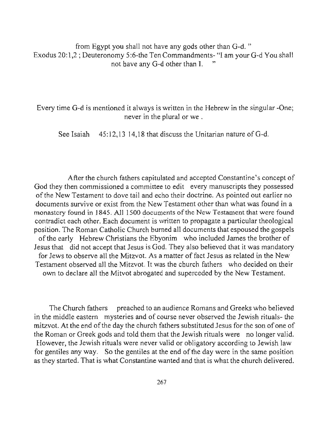from Egypt you shall not have any gods other than G-d. " Exodus 20:1,2 ; Deuteronomy 5:6-the Ten Commandments- "I am your G-d You shall not have any G-d other than I. "

Every time G-d is mentioned it always is written in the Hebrew in the singular -One; **never in the plural or we .** 

See Isaiah  $45:12,13$  14,18 that discuss the Unitarian nature of G-d.

After the church fathers capitulated and accepted Constantine's concept of God they then commissioned a committee to edit every manuscripts they possessed of the New Testament to dove tail and echo their doctrine. As pointed out earlier no documents survive or exist from the New Testament other than what was found in a monastery found in 1845. All 1500 documents of the New Testament that were found contradict each other. Each document is written to propagate a particular theological position. The Roman Catholic Church bumed all documents that espoused the gospels of the early Hebrew Christians the Ebyonim who included James the brother of Jesus that did not accept that Jesus is God. They also believed that it was mandatory for Jews to observe all the Mitzvot. As a matter of fact Jesus as related in the New Testament observed all the Mitzvot. It was the church fathers who decided on their own to declare all the Mitvot abrogated and superceded by the New Testament.

The Church fathers preached to an audience Romans and Greeks who believed in the middle eastern mysteries and of course never observed the Jewish rituals- the mitzvot. At the end of the day the church fathers substituted Jesus for the son of one of the Roman or Greek gods and told them that the Jewish rituals were no longer valid. However, the Jewish rituals were never valid or obligatory according to Jewish law for gentiles any way. So the gentiles at the end of the day were in the same position as they started. That is what Constantine wanted and that is what the church delivered.